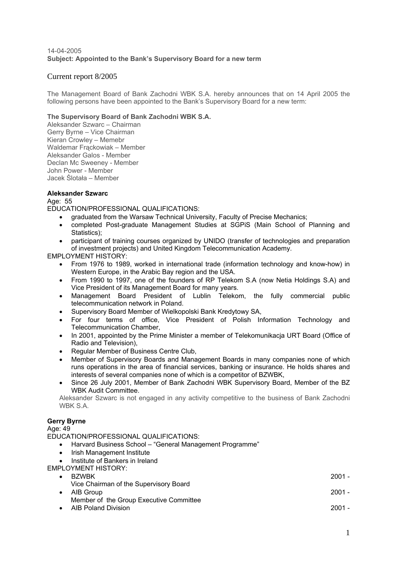## 14-04-2005 **Subject: Appointed to the Bank's Supervisory Board for a new term**

# Current report 8/2005

The Management Board of Bank Zachodni WBK S.A. hereby announces that on 14 April 2005 the following persons have been appointed to the Bank's Supervisory Board for a new term:

## **The Supervisory Board of Bank Zachodni WBK S.A.**

Aleksander Szwarc – Chairman Gerry Byrne – Vice Chairman Kieran Crowley – Memebr Waldemar Frąckowiak – Member Aleksander Galos - Member Declan Mc Sweeney - Member John Power - Member Jacek Ślotała – Member

# **Aleksander Szwarc**

Age: 55

EDUCATION/PROFESSIONAL QUALIFICATIONS:

- graduated from the Warsaw Technical University, Faculty of Precise Mechanics;
- completed Post-graduate Management Studies at SGPiS (Main School of Planning and Statistics):
- participant of training courses organized by UNIDO (transfer of technologies and preparation of investment projects) and United Kingdom Telecommunication Academy.

EMPLOYMENT HISTORY:

- From 1976 to 1989, worked in international trade (information technology and know-how) in Western Europe, in the Arabic Bay region and the USA.
- From 1990 to 1997, one of the founders of RP Telekom S.A (now Netia Holdings S.A) and Vice President of its Management Board for many years.
- Management Board President of Lublin Telekom, the fully commercial public telecommunication network in Poland.
- Supervisory Board Member of Wielkopolski Bank Kredytowy SA,
- For four terms of office, Vice President of Polish Information Technology and Telecommunication Chamber,
- In 2001, appointed by the Prime Minister a member of Telekomunikacja URT Board (Office of Radio and Television),
- Regular Member of Business Centre Club,
- Member of Supervisory Boards and Management Boards in many companies none of which runs operations in the area of financial services, banking or insurance. He holds shares and interests of several companies none of which is a competitor of BZWBK,
- Since 26 July 2001, Member of Bank Zachodni WBK Supervisory Board, Member of the BZ WBK Audit Committee.

Aleksander Szwarc is not engaged in any activity competitive to the business of Bank Zachodni WBK S.A.

# **Gerry Byrne**

## Age: 49

EDUCATION/PROFESSIONAL QUALIFICATIONS:

- Harvard Business School "General Management Programme"
- Irish Management Institute
- Institute of Bankers in Ireland

EMPLOYMENT HISTORY:

| $\bullet$ BZWBK                        | 2001 - |
|----------------------------------------|--------|
| Vice Chairman of the Supervisory Board |        |
| .                                      | ----   |

- AIB Group 2001 2001 2001 2001 2001 2001 2001 2001 2001 2001 2001 2001 2001 2001 2001 2001 2001 2001 2001 2001 2001 2001 2001 2001 2001 2001 2001 2001 2001 2001 Member of the Group Executive Committee
- AIB Poland Division 2001 -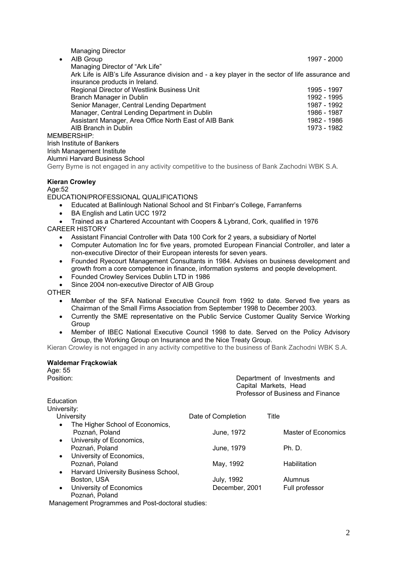| <b>Managing Director</b>                                                                         |             |
|--------------------------------------------------------------------------------------------------|-------------|
| $\bullet$ AIB Group                                                                              | 1997 - 2000 |
| Managing Director of "Ark Life"                                                                  |             |
| Ark Life is AIB's Life Assurance division and - a key player in the sector of life assurance and |             |
| insurance products in Ireland.                                                                   |             |
| Regional Director of Westlink Business Unit                                                      | 1995 - 1997 |
| Branch Manager in Dublin                                                                         | 1992 - 1995 |
| Senior Manager, Central Lending Department                                                       | 1987 - 1992 |
| Manager, Central Lending Department in Dublin                                                    | 1986 - 1987 |
| Assistant Manager, Area Office North East of AIB Bank                                            | 1982 - 1986 |
| AIB Branch in Dublin                                                                             | 1973 - 1982 |
| MEMBERSHIP:                                                                                      |             |
| Irish Institute of Bankers                                                                       |             |
| $l$ <sub>n</sub> $\alpha$ <sub>b</sub> $l$ $\alpha$                                              |             |

Irish Management Institute Alumni Harvard Business School

Gerry Byrne is not engaged in any activity competitive to the business of Bank Zachodni WBK S.A.

## **Kieran Crowley**

### Age:52

EDUCATION/PROFESSIONAL QUALIFICATIONS

- Educated at Ballinlough National School and St Finbarr's College, Farranferns
- BA English and Latin UCC 1972
- Trained as a Chartered Accountant with Coopers & Lybrand, Cork, qualified in 1976 CAREER HISTORY
	- Assistant Financial Controller with Data 100 Cork for 2 years, a subsidiary of Nortel
	- Computer Automation Inc for five years, promoted European Financial Controller, and later a non-executive Director of their European interests for seven years.
	- Founded Ryecourt Management Consultants in 1984. Advises on business development and growth from a core competence in finance, information systems and people development.
	- Founded Crowley Services Dublin LTD in 1986
	- Since 2004 non-executive Director of AIB Group

**OTHER** 

- Member of the SFA National Executive Council from 1992 to date. Served five years as Chairman of the Small Firms Association from September 1998 to December 2003.
- Currently the SME representative on the Public Service Customer Quality Service Working Group
- Member of IBEC National Executive Council 1998 to date. Served on the Policy Advisory Group, the Working Group on Insurance and the Nice Treaty Group.

Kieran Crowley is not engaged in any activity competitive to the business of Bank Zachodni WBK S.A.

#### **Waldemar Frąckowiak**

Age: 55 Position: Position: Position: Capital Markets, Head Professor of Business and Finance Education University: University **Date of Completion** Title The Higher School of Economics, Poznań, Poland **Master of Economics** June, 1972 Master of Economics • University of Economics, Poznań, Poland **Poznań, Poland Ph. D.** June, 1979 Ph. D. • University of Economics, Poznań, Poland May, 1992 Habilitation • Harvard University Business School, Boston, USA **Disk and Separate Separate Separate Separate Separate Separate Separate Separate Separate Separate Separate Separate Separate Separate Separate Separate Separate Separate Separate Separate Separate Separate Se** University of Economics **December, 2001** Full professor Poznań, Poland

Management Programmes and Post-doctoral studies: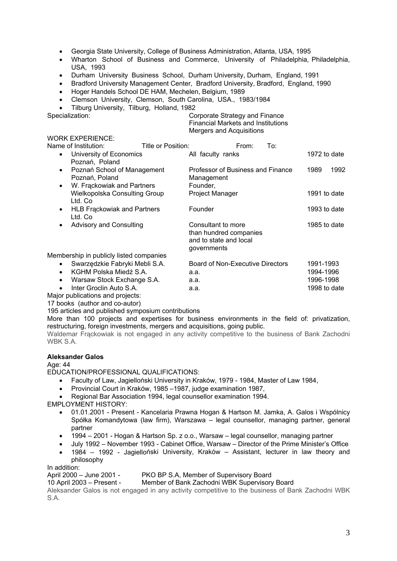- Georgia State University, College of Business Administration, Atlanta, USA, 1995
- Wharton School of Business and Commerce, University of Philadelphia, Philadelphia, USA, 1993
- Durham University Business School, Durham University, Durham, England, 1991
- Bradford University Management Center, Bradford University, Bradford, England, 1990
- Hoger Handels School DE HAM, Mechelen, Belgium, 1989
- Clemson University, Clemson, South Carolina, USA., 1983/1984
- Tilburg University, Tilburg, Holland, 1982

| Specialization:                                            |                    | Corporate Strategy and Finance<br><b>Financial Markets and Institutions</b><br>Mergers and Acquisitions |       |     |      |              |
|------------------------------------------------------------|--------------------|---------------------------------------------------------------------------------------------------------|-------|-----|------|--------------|
| WORK EXPERIENCE:                                           |                    |                                                                                                         |       |     |      |              |
| Name of Institution:                                       | Title or Position: |                                                                                                         | From: | To: |      |              |
| • University of Economics<br>Poznań, Poland                |                    | All faculty ranks                                                                                       |       |     |      | 1972 to date |
| Poznań School of Management<br>$\bullet$<br>Poznań, Poland |                    | Professor of Business and Finance<br>Management                                                         |       |     | 1989 | 1992         |

- W. Frackowiak and Partners Founder, Wielkopolska Consulting Group **Project Manager** 1991 to date Ltd. Co • HLB Frackowiak and Partners Founder 1993 to date
- Ltd. Co • Advisory and Consulting Consultant to more 1985 to date than hundred companies and to state and local governments

Membership in publicly listed companies

- Swarzedzkie Fabryki Mebli S.A. Board of Non-Executive Directors 1991-1993 • KGHM Polska Miedź S.A. a.a. 1994-1996
	- Warsaw Stock Exchange S.A. a.a. 1996-1998
	- Inter Groclin Auto S.A. **a.a.** a.a. 1998 to date
	-

Major publications and projects:

17 books (author and co-autor)

195 articles and published symposium contributions

More than 100 projects and expertises for business environments in the field of: privatization, restructuring, foreign investments, mergers and acquisitions, going public.

Waldemar Frąckowiak is not engaged in any activity competitive to the business of Bank Zachodni WBK S.A.

## **Aleksander Galos**

Age: 44

EDUCATION/PROFESSIONAL QUALIFICATIONS:

- Faculty of Law, Jagielloński University in Kraków, 1979 1984, Master of Law 1984,
- Provincial Court in Kraków, 1985 –1987, judge examination 1987,
- Regional Bar Association 1994, legal counsellor examination 1994.

EMPLOYMENT HISTORY:

- 01.01.2001 Present Kancelaria Prawna Hogan & Hartson M. Jamka, A. Galos i Wspólnicy Spółka Komandytowa (law firm), Warszawa – legal counsellor, managing partner, general partner
- 1994 2001 Hogan & Hartson Sp. z o.o., Warsaw legal counsellor, managing partner
- July 1992 November 1993 Cabinet Office, Warsaw Director of the Prime Minister's Office
- 1984 1992 Jagielloński University, Kraków Assistant, lecturer in law theory and philosophy

In addition:

## April 2000 – June 2001 - PKO BP S.A, Member of Supervisory Board

10 April 2003 – Present - Member of Bank Zachodni WBK Supervisory Board

Aleksander Galos is not engaged in any activity competitive to the business of Bank Zachodni WBK S.A.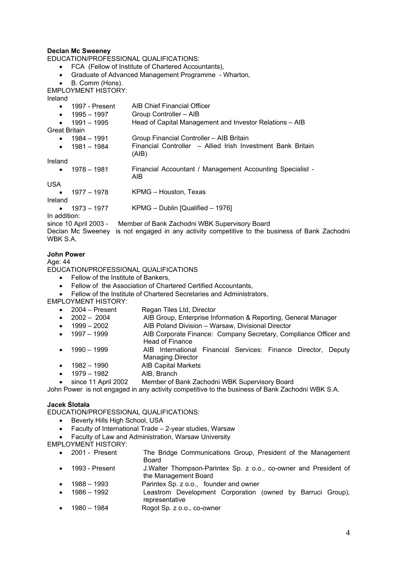## **Declan Mc Sweeney**

EDUCATION/PROFESSIONAL QUALIFICATIONS:

- FCA (Fellow of Institute of Chartered Accountants),
- Graduate of Advanced Management Programme Wharton,

B. Comm (Hons).

EMPLOYMENT HISTORY:

Ireland

| 1997 - Present<br>$\bullet$   | AIB Chief Financial Officer                                                 |
|-------------------------------|-----------------------------------------------------------------------------|
| 1995 – 1997<br>$\bullet$      | Group Controller - AIB                                                      |
| 1991 – 1995<br>$\bullet$      | Head of Capital Management and Investor Relations - AIB                     |
| <b>Great Britain</b>          |                                                                             |
| 1984 – 1991<br>$\bullet$      | Group Financial Controller - AIB Britain                                    |
| 1981 - 1984<br>$\bullet$      | Financial Controller – Allied Irish Investment Bank Britain<br>(AIB)        |
| Ireland                       |                                                                             |
| 1978 – 1981<br>$\bullet$      | Financial Accountant / Management Accounting Specialist -<br>AIB.           |
| <b>USA</b>                    |                                                                             |
| • $1977 - 1978$               | KPMG - Houston, Texas                                                       |
| Ireland                       |                                                                             |
| $\bullet$ 1973 – 1977         | KPMG - Dublin [Qualified - 1976]                                            |
| In addition:                  |                                                                             |
| since 10 April 2003 -         | Member of Bank Zachodni WBK Supervisory Board                               |
| Declan Mc Sweeney<br>WBK S.A. | is not engaged in any activity competitive to the business of Bank Zachodni |

### **John Power**

#### Age: 44

EDUCATION/PROFESSIONAL QUALIFICATIONS

- Fellow of the Institute of Bankers,
- Fellow of the Association of Chartered Certified Accountants,
- Fellow of the Institute of Chartered Secretaries and Administrators,
- EMPLOYMENT HISTORY:
	- 2004 Present Regan Tiles Ltd, Director
	- 2002 2004 AIB Group, Enterprise Information & Reporting, General Manager
	- 1999 2002 AIB Poland Division Warsaw, Divisional Director
	- 1997 1999 AIB Corporate Finance: Company Secretary, Compliance Officer and Head of Finance
	- 1990 1999 AIB International Financial Services: Finance Director, Deputy Managing Director
	- 1982 1990 AIB Capital Markets
	- 1979 1982 AIB, Branch
	- since 11 April 2002 Member of Bank Zachodni WBK Supervisory Board

John Power is not engaged in any activity competitive to the business of Bank Zachodni WBK S.A.

#### **Jacek Ślotała**

EDUCATION/PROFESSIONAL QUALIFICATIONS:

- Beverly Hills High School, USA
- Faculty of International Trade 2-year studies, Warsaw
- Faculty of Law and Administration, Warsaw University

EMPLOYMENT HISTORY:

- 2001 Present The Bridge Communications Group, President of the Management Board
- 1993 Present J.Walter Thompson-Parintex Sp. z o.o., co-owner and President of the Management Board
- 1988 1993 Parintex Sp. z o.o., founder and owner
- 1986 1992 Leastrom Development Corporation (owned by Barruci Group), representative
- 1980 1984 Rogot Sp. z o.o., co-owner